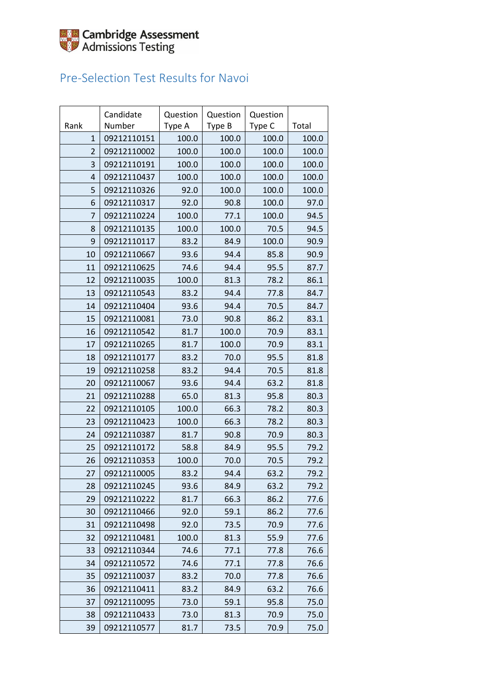

### Pre-Selection Test Results for Navoi

|                | Candidate   | Question | Question | Question |       |
|----------------|-------------|----------|----------|----------|-------|
| Rank           | Number      | Type A   | Type B   | Type C   | Total |
| $\mathbf{1}$   | 09212110151 | 100.0    | 100.0    | 100.0    | 100.0 |
| $\overline{2}$ | 09212110002 | 100.0    | 100.0    | 100.0    | 100.0 |
| 3              | 09212110191 | 100.0    | 100.0    | 100.0    | 100.0 |
| $\overline{4}$ | 09212110437 | 100.0    | 100.0    | 100.0    | 100.0 |
| 5              | 09212110326 | 92.0     | 100.0    | 100.0    | 100.0 |
| 6              | 09212110317 | 92.0     | 90.8     | 100.0    | 97.0  |
| 7              | 09212110224 | 100.0    | 77.1     | 100.0    | 94.5  |
| 8              | 09212110135 | 100.0    | 100.0    | 70.5     | 94.5  |
| 9              | 09212110117 | 83.2     | 84.9     | 100.0    | 90.9  |
| 10             | 09212110667 | 93.6     | 94.4     | 85.8     | 90.9  |
| 11             | 09212110625 | 74.6     | 94.4     | 95.5     | 87.7  |
| 12             | 09212110035 | 100.0    | 81.3     | 78.2     | 86.1  |
| 13             | 09212110543 | 83.2     | 94.4     | 77.8     | 84.7  |
| 14             | 09212110404 | 93.6     | 94.4     | 70.5     | 84.7  |
| 15             | 09212110081 | 73.0     | 90.8     | 86.2     | 83.1  |
| 16             | 09212110542 | 81.7     | 100.0    | 70.9     | 83.1  |
| 17             | 09212110265 | 81.7     | 100.0    | 70.9     | 83.1  |
| 18             | 09212110177 | 83.2     | 70.0     | 95.5     | 81.8  |
| 19             | 09212110258 | 83.2     | 94.4     | 70.5     | 81.8  |
| 20             | 09212110067 | 93.6     | 94.4     | 63.2     | 81.8  |
| 21             | 09212110288 | 65.0     | 81.3     | 95.8     | 80.3  |
| 22             | 09212110105 | 100.0    | 66.3     | 78.2     | 80.3  |
| 23             | 09212110423 | 100.0    | 66.3     | 78.2     | 80.3  |
| 24             | 09212110387 | 81.7     | 90.8     | 70.9     | 80.3  |
| 25             | 09212110172 | 58.8     | 84.9     | 95.5     | 79.2  |
| 26             | 09212110353 | 100.0    | 70.0     | 70.5     | 79.2  |
| 27             | 09212110005 | 83.2     | 94.4     | 63.2     | 79.2  |
| 28             | 09212110245 | 93.6     | 84.9     | 63.2     | 79.2  |
| 29             | 09212110222 | 81.7     | 66.3     | 86.2     | 77.6  |
| 30             | 09212110466 | 92.0     | 59.1     | 86.2     | 77.6  |
| 31             | 09212110498 | 92.0     | 73.5     | 70.9     | 77.6  |
| 32             | 09212110481 | 100.0    | 81.3     | 55.9     | 77.6  |
| 33             | 09212110344 | 74.6     | 77.1     | 77.8     | 76.6  |
| 34             | 09212110572 | 74.6     | 77.1     | 77.8     | 76.6  |
| 35             | 09212110037 | 83.2     | 70.0     | 77.8     | 76.6  |
| 36             | 09212110411 | 83.2     | 84.9     | 63.2     | 76.6  |
| 37             | 09212110095 | 73.0     | 59.1     | 95.8     | 75.0  |
| 38             | 09212110433 | 73.0     | 81.3     | 70.9     | 75.0  |
| 39             | 09212110577 | 81.7     | 73.5     | 70.9     | 75.0  |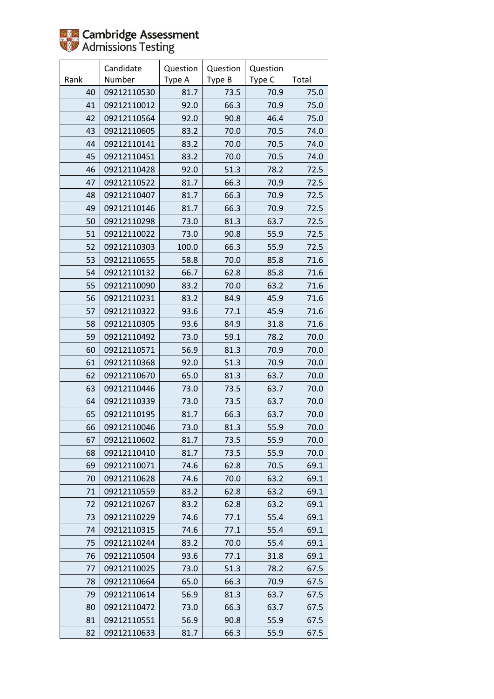

|      | Candidate   | Question | Question | Question |       |
|------|-------------|----------|----------|----------|-------|
| Rank | Number      | Type A   | Type B   | Type C   | Total |
| 40   | 09212110530 | 81.7     | 73.5     | 70.9     | 75.0  |
| 41   | 09212110012 | 92.0     | 66.3     | 70.9     | 75.0  |
| 42   | 09212110564 | 92.0     | 90.8     | 46.4     | 75.0  |
| 43   | 09212110605 | 83.2     | 70.0     | 70.5     | 74.0  |
| 44   | 09212110141 | 83.2     | 70.0     | 70.5     | 74.0  |
| 45   | 09212110451 | 83.2     | 70.0     | 70.5     | 74.0  |
| 46   | 09212110428 | 92.0     | 51.3     | 78.2     | 72.5  |
| 47   | 09212110522 | 81.7     | 66.3     | 70.9     | 72.5  |
| 48   | 09212110407 | 81.7     | 66.3     | 70.9     | 72.5  |
| 49   | 09212110146 | 81.7     | 66.3     | 70.9     | 72.5  |
| 50   | 09212110298 | 73.0     | 81.3     | 63.7     | 72.5  |
| 51   | 09212110022 | 73.0     | 90.8     | 55.9     | 72.5  |
| 52   | 09212110303 | 100.0    | 66.3     | 55.9     | 72.5  |
| 53   | 09212110655 | 58.8     | 70.0     | 85.8     | 71.6  |
| 54   | 09212110132 | 66.7     | 62.8     | 85.8     | 71.6  |
| 55   | 09212110090 | 83.2     | 70.0     | 63.2     | 71.6  |
| 56   | 09212110231 | 83.2     | 84.9     | 45.9     | 71.6  |
| 57   | 09212110322 | 93.6     | 77.1     | 45.9     | 71.6  |
| 58   | 09212110305 | 93.6     | 84.9     | 31.8     | 71.6  |
| 59   | 09212110492 | 73.0     | 59.1     | 78.2     | 70.0  |
| 60   | 09212110571 | 56.9     | 81.3     | 70.9     | 70.0  |
| 61   | 09212110368 | 92.0     | 51.3     | 70.9     | 70.0  |
| 62   | 09212110670 | 65.0     | 81.3     | 63.7     | 70.0  |
| 63   | 09212110446 | 73.0     | 73.5     | 63.7     | 70.0  |
| 64   | 09212110339 | 73.0     | 73.5     | 63.7     | 70.0  |
| 65   | 09212110195 | 81.7     | 66.3     | 63.7     | 70.0  |
| 66   | 09212110046 | 73.0     | 81.3     | 55.9     | 70.0  |
| 67   | 09212110602 | 81.7     | 73.5     | 55.9     | 70.0  |
| 68   | 09212110410 | 81.7     | 73.5     | 55.9     | 70.0  |
| 69   | 09212110071 | 74.6     | 62.8     | 70.5     | 69.1  |
| 70   | 09212110628 | 74.6     | 70.0     | 63.2     | 69.1  |
| 71   | 09212110559 | 83.2     | 62.8     | 63.2     | 69.1  |
| 72   | 09212110267 | 83.2     | 62.8     | 63.2     | 69.1  |
| 73   | 09212110229 | 74.6     | 77.1     | 55.4     | 69.1  |
| 74   | 09212110315 | 74.6     | 77.1     | 55.4     | 69.1  |
| 75   | 09212110244 | 83.2     | 70.0     | 55.4     | 69.1  |
| 76   | 09212110504 | 93.6     | 77.1     | 31.8     | 69.1  |
| 77   | 09212110025 | 73.0     | 51.3     | 78.2     | 67.5  |
| 78   | 09212110664 | 65.0     | 66.3     | 70.9     | 67.5  |
| 79   | 09212110614 | 56.9     | 81.3     | 63.7     | 67.5  |
| 80   | 09212110472 | 73.0     | 66.3     | 63.7     | 67.5  |
| 81   | 09212110551 | 56.9     | 90.8     | 55.9     | 67.5  |
| 82   | 09212110633 | 81.7     | 66.3     | 55.9     | 67.5  |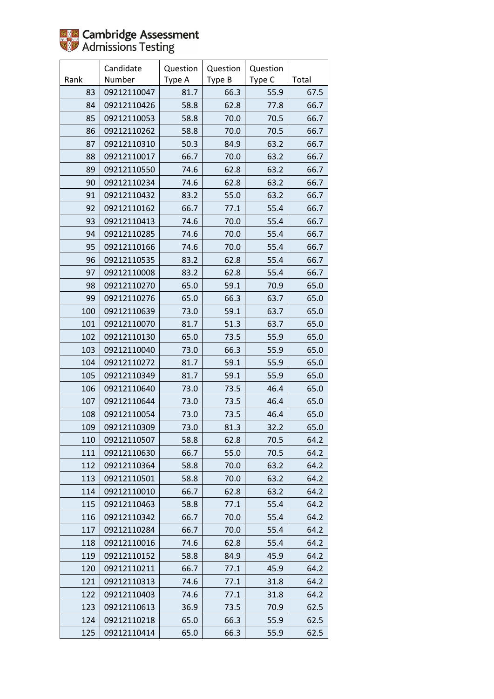

|      | Candidate   | Question | Question | Question |       |
|------|-------------|----------|----------|----------|-------|
| Rank | Number      | Type A   | Type B   | Type C   | Total |
| 83   | 09212110047 | 81.7     | 66.3     | 55.9     | 67.5  |
| 84   | 09212110426 | 58.8     | 62.8     | 77.8     | 66.7  |
| 85   | 09212110053 | 58.8     | 70.0     | 70.5     | 66.7  |
| 86   | 09212110262 | 58.8     | 70.0     | 70.5     | 66.7  |
| 87   | 09212110310 | 50.3     | 84.9     | 63.2     | 66.7  |
| 88   | 09212110017 | 66.7     | 70.0     | 63.2     | 66.7  |
| 89   | 09212110550 | 74.6     | 62.8     | 63.2     | 66.7  |
| 90   | 09212110234 | 74.6     | 62.8     | 63.2     | 66.7  |
| 91   | 09212110432 | 83.2     | 55.0     | 63.2     | 66.7  |
| 92   | 09212110162 | 66.7     | 77.1     | 55.4     | 66.7  |
| 93   | 09212110413 | 74.6     | 70.0     | 55.4     | 66.7  |
| 94   | 09212110285 | 74.6     | 70.0     | 55.4     | 66.7  |
| 95   | 09212110166 | 74.6     | 70.0     | 55.4     | 66.7  |
| 96   | 09212110535 | 83.2     | 62.8     | 55.4     | 66.7  |
| 97   | 09212110008 | 83.2     | 62.8     | 55.4     | 66.7  |
| 98   | 09212110270 | 65.0     | 59.1     | 70.9     | 65.0  |
| 99   | 09212110276 | 65.0     | 66.3     | 63.7     | 65.0  |
| 100  | 09212110639 | 73.0     | 59.1     | 63.7     | 65.0  |
| 101  | 09212110070 | 81.7     | 51.3     | 63.7     | 65.0  |
| 102  | 09212110130 | 65.0     | 73.5     | 55.9     | 65.0  |
| 103  | 09212110040 | 73.0     | 66.3     | 55.9     | 65.0  |
| 104  | 09212110272 | 81.7     | 59.1     | 55.9     | 65.0  |
| 105  | 09212110349 | 81.7     | 59.1     | 55.9     | 65.0  |
| 106  | 09212110640 | 73.0     | 73.5     | 46.4     | 65.0  |
| 107  | 09212110644 | 73.0     | 73.5     | 46.4     | 65.0  |
| 108  | 09212110054 | 73.0     | 73.5     | 46.4     | 65.0  |
| 109  | 09212110309 | 73.0     | 81.3     | 32.2     | 65.0  |
| 110  | 09212110507 | 58.8     | 62.8     | 70.5     | 64.2  |
| 111  | 09212110630 | 66.7     | 55.0     | 70.5     | 64.2  |
| 112  | 09212110364 | 58.8     | 70.0     | 63.2     | 64.2  |
| 113  | 09212110501 | 58.8     | 70.0     | 63.2     | 64.2  |
| 114  | 09212110010 | 66.7     | 62.8     | 63.2     | 64.2  |
| 115  | 09212110463 | 58.8     | 77.1     | 55.4     | 64.2  |
| 116  | 09212110342 | 66.7     | 70.0     | 55.4     | 64.2  |
| 117  | 09212110284 | 66.7     | 70.0     | 55.4     | 64.2  |
| 118  | 09212110016 | 74.6     | 62.8     | 55.4     | 64.2  |
| 119  | 09212110152 | 58.8     | 84.9     | 45.9     | 64.2  |
| 120  | 09212110211 | 66.7     | 77.1     | 45.9     | 64.2  |
| 121  | 09212110313 | 74.6     | 77.1     | 31.8     | 64.2  |
| 122  | 09212110403 | 74.6     | 77.1     | 31.8     | 64.2  |
| 123  | 09212110613 | 36.9     | 73.5     | 70.9     | 62.5  |
| 124  | 09212110218 | 65.0     | 66.3     | 55.9     | 62.5  |
| 125  | 09212110414 | 65.0     | 66.3     | 55.9     | 62.5  |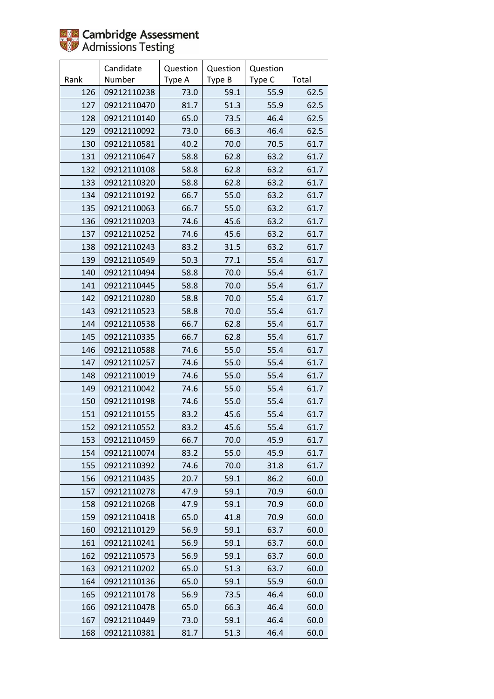

|      | Candidate   | Question | Question | Question |       |
|------|-------------|----------|----------|----------|-------|
| Rank | Number      | Type A   | Type B   | Type C   | Total |
| 126  | 09212110238 | 73.0     | 59.1     | 55.9     | 62.5  |
| 127  | 09212110470 | 81.7     | 51.3     | 55.9     | 62.5  |
| 128  | 09212110140 | 65.0     | 73.5     | 46.4     | 62.5  |
| 129  | 09212110092 | 73.0     | 66.3     | 46.4     | 62.5  |
| 130  | 09212110581 | 40.2     | 70.0     | 70.5     | 61.7  |
| 131  | 09212110647 | 58.8     | 62.8     | 63.2     | 61.7  |
| 132  | 09212110108 | 58.8     | 62.8     | 63.2     | 61.7  |
| 133  | 09212110320 | 58.8     | 62.8     | 63.2     | 61.7  |
| 134  | 09212110192 | 66.7     | 55.0     | 63.2     | 61.7  |
| 135  | 09212110063 | 66.7     | 55.0     | 63.2     | 61.7  |
| 136  | 09212110203 | 74.6     | 45.6     | 63.2     | 61.7  |
| 137  | 09212110252 | 74.6     | 45.6     | 63.2     | 61.7  |
| 138  | 09212110243 | 83.2     | 31.5     | 63.2     | 61.7  |
| 139  | 09212110549 | 50.3     | 77.1     | 55.4     | 61.7  |
| 140  | 09212110494 | 58.8     | 70.0     | 55.4     | 61.7  |
| 141  | 09212110445 | 58.8     | 70.0     | 55.4     | 61.7  |
| 142  | 09212110280 | 58.8     | 70.0     | 55.4     | 61.7  |
| 143  | 09212110523 | 58.8     | 70.0     | 55.4     | 61.7  |
| 144  | 09212110538 | 66.7     | 62.8     | 55.4     | 61.7  |
| 145  | 09212110335 | 66.7     | 62.8     | 55.4     | 61.7  |
| 146  | 09212110588 | 74.6     | 55.0     | 55.4     | 61.7  |
| 147  | 09212110257 | 74.6     | 55.0     | 55.4     | 61.7  |
| 148  | 09212110019 | 74.6     | 55.0     | 55.4     | 61.7  |
| 149  | 09212110042 | 74.6     | 55.0     | 55.4     | 61.7  |
| 150  | 09212110198 | 74.6     | 55.0     | 55.4     | 61.7  |
| 151  | 09212110155 | 83.2     | 45.6     | 55.4     | 61.7  |
| 152  | 09212110552 | 83.2     | 45.6     | 55.4     | 61.7  |
| 153  | 09212110459 | 66.7     | 70.0     | 45.9     | 61.7  |
| 154  | 09212110074 | 83.2     | 55.0     | 45.9     | 61.7  |
| 155  | 09212110392 | 74.6     | 70.0     | 31.8     | 61.7  |
| 156  | 09212110435 | 20.7     | 59.1     | 86.2     | 60.0  |
| 157  | 09212110278 | 47.9     | 59.1     | 70.9     | 60.0  |
| 158  | 09212110268 | 47.9     | 59.1     | 70.9     | 60.0  |
| 159  | 09212110418 | 65.0     | 41.8     | 70.9     | 60.0  |
| 160  | 09212110129 | 56.9     | 59.1     | 63.7     | 60.0  |
| 161  | 09212110241 | 56.9     | 59.1     | 63.7     | 60.0  |
| 162  | 09212110573 | 56.9     | 59.1     | 63.7     | 60.0  |
| 163  | 09212110202 | 65.0     | 51.3     | 63.7     | 60.0  |
| 164  | 09212110136 | 65.0     | 59.1     | 55.9     | 60.0  |
| 165  | 09212110178 | 56.9     | 73.5     | 46.4     | 60.0  |
| 166  | 09212110478 | 65.0     | 66.3     | 46.4     | 60.0  |
| 167  | 09212110449 | 73.0     | 59.1     | 46.4     | 60.0  |
| 168  | 09212110381 | 81.7     | 51.3     | 46.4     | 60.0  |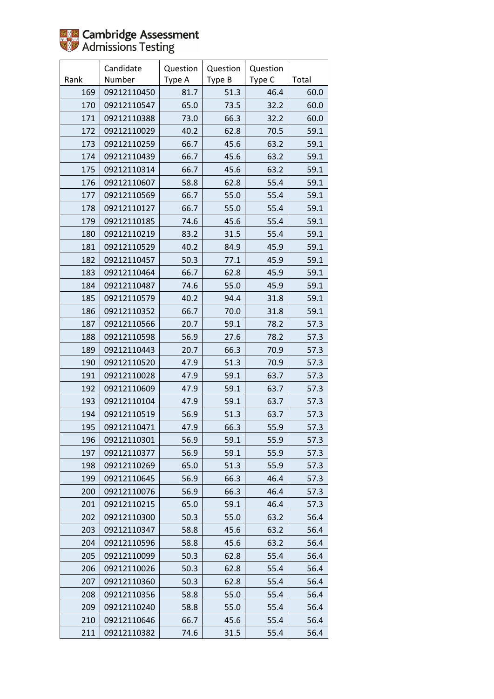|      | Candidate   | Question | Question | Question |       |
|------|-------------|----------|----------|----------|-------|
| Rank | Number      | Type A   | Type B   | Type C   | Total |
| 169  | 09212110450 | 81.7     | 51.3     | 46.4     | 60.0  |
| 170  | 09212110547 | 65.0     | 73.5     | 32.2     | 60.0  |
| 171  | 09212110388 | 73.0     | 66.3     | 32.2     | 60.0  |
| 172  | 09212110029 | 40.2     | 62.8     | 70.5     | 59.1  |
| 173  | 09212110259 | 66.7     | 45.6     | 63.2     | 59.1  |
| 174  | 09212110439 | 66.7     | 45.6     | 63.2     | 59.1  |
| 175  | 09212110314 | 66.7     | 45.6     | 63.2     | 59.1  |
| 176  | 09212110607 | 58.8     | 62.8     | 55.4     | 59.1  |
| 177  | 09212110569 | 66.7     | 55.0     | 55.4     | 59.1  |
| 178  | 09212110127 | 66.7     | 55.0     | 55.4     | 59.1  |
| 179  | 09212110185 | 74.6     | 45.6     | 55.4     | 59.1  |
| 180  | 09212110219 | 83.2     | 31.5     | 55.4     | 59.1  |
| 181  | 09212110529 | 40.2     | 84.9     | 45.9     | 59.1  |
| 182  | 09212110457 | 50.3     | 77.1     | 45.9     | 59.1  |
| 183  | 09212110464 | 66.7     | 62.8     | 45.9     | 59.1  |
| 184  | 09212110487 | 74.6     | 55.0     | 45.9     | 59.1  |
| 185  | 09212110579 | 40.2     | 94.4     | 31.8     | 59.1  |
| 186  | 09212110352 | 66.7     | 70.0     | 31.8     | 59.1  |
| 187  | 09212110566 | 20.7     | 59.1     | 78.2     | 57.3  |
| 188  | 09212110598 | 56.9     | 27.6     | 78.2     | 57.3  |
| 189  | 09212110443 | 20.7     | 66.3     | 70.9     | 57.3  |
| 190  | 09212110520 | 47.9     | 51.3     | 70.9     | 57.3  |
| 191  | 09212110028 | 47.9     | 59.1     | 63.7     | 57.3  |
| 192  | 09212110609 | 47.9     | 59.1     | 63.7     | 57.3  |
| 193  | 09212110104 | 47.9     | 59.1     | 63.7     | 57.3  |
| 194  | 09212110519 | 56.9     | 51.3     | 63.7     | 57.3  |
| 195  | 09212110471 | 47.9     | 66.3     | 55.9     | 57.3  |
| 196  | 09212110301 | 56.9     | 59.1     | 55.9     | 57.3  |
| 197  | 09212110377 | 56.9     | 59.1     | 55.9     | 57.3  |
| 198  | 09212110269 | 65.0     | 51.3     | 55.9     | 57.3  |
| 199  | 09212110645 | 56.9     | 66.3     | 46.4     | 57.3  |
| 200  | 09212110076 | 56.9     | 66.3     | 46.4     | 57.3  |
| 201  | 09212110215 | 65.0     | 59.1     | 46.4     | 57.3  |
| 202  | 09212110300 | 50.3     | 55.0     | 63.2     | 56.4  |
| 203  | 09212110347 | 58.8     | 45.6     | 63.2     | 56.4  |
| 204  | 09212110596 | 58.8     | 45.6     | 63.2     | 56.4  |
| 205  | 09212110099 | 50.3     | 62.8     | 55.4     | 56.4  |
| 206  | 09212110026 | 50.3     | 62.8     | 55.4     | 56.4  |
| 207  | 09212110360 | 50.3     | 62.8     | 55.4     | 56.4  |
| 208  | 09212110356 | 58.8     | 55.0     | 55.4     | 56.4  |
| 209  | 09212110240 | 58.8     | 55.0     | 55.4     | 56.4  |
| 210  | 09212110646 | 66.7     | 45.6     | 55.4     | 56.4  |
| 211  | 09212110382 | 74.6     | 31.5     | 55.4     | 56.4  |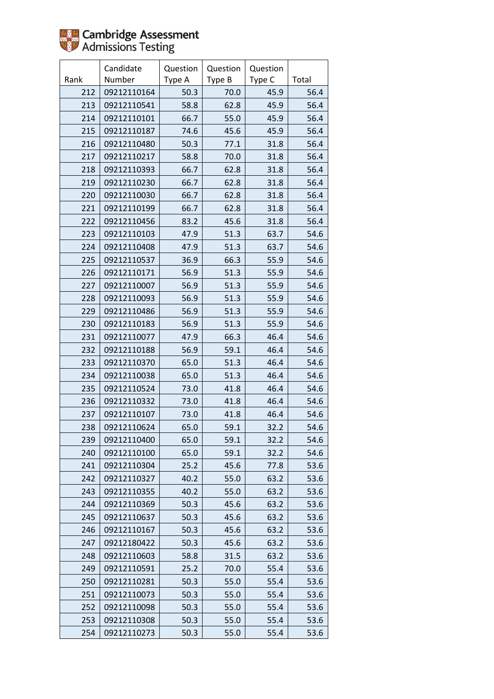

|      | Candidate   | Question | Question | Question |       |
|------|-------------|----------|----------|----------|-------|
| Rank | Number      | Type A   | Type B   | Type C   | Total |
| 212  | 09212110164 | 50.3     | 70.0     | 45.9     | 56.4  |
| 213  | 09212110541 | 58.8     | 62.8     | 45.9     | 56.4  |
| 214  | 09212110101 | 66.7     | 55.0     | 45.9     | 56.4  |
| 215  | 09212110187 | 74.6     | 45.6     | 45.9     | 56.4  |
| 216  | 09212110480 | 50.3     | 77.1     | 31.8     | 56.4  |
| 217  | 09212110217 | 58.8     | 70.0     | 31.8     | 56.4  |
| 218  | 09212110393 | 66.7     | 62.8     | 31.8     | 56.4  |
| 219  | 09212110230 | 66.7     | 62.8     | 31.8     | 56.4  |
| 220  | 09212110030 | 66.7     | 62.8     | 31.8     | 56.4  |
| 221  | 09212110199 | 66.7     | 62.8     | 31.8     | 56.4  |
| 222  | 09212110456 | 83.2     | 45.6     | 31.8     | 56.4  |
| 223  | 09212110103 | 47.9     | 51.3     | 63.7     | 54.6  |
| 224  | 09212110408 | 47.9     | 51.3     | 63.7     | 54.6  |
| 225  | 09212110537 | 36.9     | 66.3     | 55.9     | 54.6  |
| 226  | 09212110171 | 56.9     | 51.3     | 55.9     | 54.6  |
| 227  | 09212110007 | 56.9     | 51.3     | 55.9     | 54.6  |
| 228  | 09212110093 | 56.9     | 51.3     | 55.9     | 54.6  |
| 229  | 09212110486 | 56.9     | 51.3     | 55.9     | 54.6  |
| 230  | 09212110183 | 56.9     | 51.3     | 55.9     | 54.6  |
| 231  | 09212110077 | 47.9     | 66.3     | 46.4     | 54.6  |
| 232  | 09212110188 | 56.9     | 59.1     | 46.4     | 54.6  |
| 233  | 09212110370 | 65.0     | 51.3     | 46.4     | 54.6  |
| 234  | 09212110038 | 65.0     | 51.3     | 46.4     | 54.6  |
| 235  | 09212110524 | 73.0     | 41.8     | 46.4     | 54.6  |
| 236  | 09212110332 | 73.0     | 41.8     | 46.4     | 54.6  |
| 237  | 09212110107 | 73.0     | 41.8     | 46.4     | 54.6  |
| 238  | 09212110624 | 65.0     | 59.1     | 32.2     | 54.6  |
| 239  | 09212110400 | 65.0     | 59.1     | 32.2     | 54.6  |
| 240  | 09212110100 | 65.0     | 59.1     | 32.2     | 54.6  |
| 241  | 09212110304 | 25.2     | 45.6     | 77.8     | 53.6  |
| 242  | 09212110327 | 40.2     | 55.0     | 63.2     | 53.6  |
| 243  | 09212110355 | 40.2     | 55.0     | 63.2     | 53.6  |
| 244  | 09212110369 | 50.3     | 45.6     | 63.2     | 53.6  |
| 245  | 09212110637 | 50.3     | 45.6     | 63.2     | 53.6  |
| 246  | 09212110167 | 50.3     | 45.6     | 63.2     | 53.6  |
| 247  | 09212180422 | 50.3     | 45.6     | 63.2     | 53.6  |
| 248  | 09212110603 | 58.8     | 31.5     | 63.2     | 53.6  |
| 249  | 09212110591 | 25.2     | 70.0     | 55.4     | 53.6  |
| 250  | 09212110281 | 50.3     | 55.0     | 55.4     | 53.6  |
| 251  | 09212110073 | 50.3     | 55.0     | 55.4     | 53.6  |
| 252  | 09212110098 | 50.3     | 55.0     | 55.4     | 53.6  |
| 253  | 09212110308 | 50.3     | 55.0     | 55.4     | 53.6  |
| 254  | 09212110273 | 50.3     | 55.0     | 55.4     | 53.6  |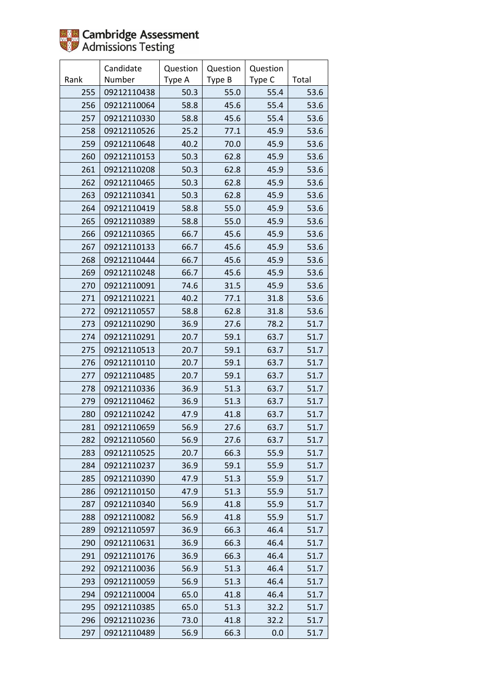

|      | Candidate   | Question | Question | Question |       |
|------|-------------|----------|----------|----------|-------|
| Rank | Number      | Type A   | Type B   | Type C   | Total |
| 255  | 09212110438 | 50.3     | 55.0     | 55.4     | 53.6  |
| 256  | 09212110064 | 58.8     | 45.6     | 55.4     | 53.6  |
| 257  | 09212110330 | 58.8     | 45.6     | 55.4     | 53.6  |
| 258  | 09212110526 | 25.2     | 77.1     | 45.9     | 53.6  |
| 259  | 09212110648 | 40.2     | 70.0     | 45.9     | 53.6  |
| 260  | 09212110153 | 50.3     | 62.8     | 45.9     | 53.6  |
| 261  | 09212110208 | 50.3     | 62.8     | 45.9     | 53.6  |
| 262  | 09212110465 | 50.3     | 62.8     | 45.9     | 53.6  |
| 263  | 09212110341 | 50.3     | 62.8     | 45.9     | 53.6  |
| 264  | 09212110419 | 58.8     | 55.0     | 45.9     | 53.6  |
| 265  | 09212110389 | 58.8     | 55.0     | 45.9     | 53.6  |
| 266  | 09212110365 | 66.7     | 45.6     | 45.9     | 53.6  |
| 267  | 09212110133 | 66.7     | 45.6     | 45.9     | 53.6  |
| 268  | 09212110444 | 66.7     | 45.6     | 45.9     | 53.6  |
| 269  | 09212110248 | 66.7     | 45.6     | 45.9     | 53.6  |
| 270  | 09212110091 | 74.6     | 31.5     | 45.9     | 53.6  |
| 271  | 09212110221 | 40.2     | 77.1     | 31.8     | 53.6  |
| 272  | 09212110557 | 58.8     | 62.8     | 31.8     | 53.6  |
| 273  | 09212110290 | 36.9     | 27.6     | 78.2     | 51.7  |
| 274  | 09212110291 | 20.7     | 59.1     | 63.7     | 51.7  |
| 275  | 09212110513 | 20.7     | 59.1     | 63.7     | 51.7  |
| 276  | 09212110110 | 20.7     | 59.1     | 63.7     | 51.7  |
| 277  | 09212110485 | 20.7     | 59.1     | 63.7     | 51.7  |
| 278  | 09212110336 | 36.9     | 51.3     | 63.7     | 51.7  |
| 279  | 09212110462 | 36.9     | 51.3     | 63.7     | 51.7  |
| 280  | 09212110242 | 47.9     | 41.8     | 63.7     | 51.7  |
| 281  | 09212110659 | 56.9     | 27.6     | 63.7     | 51.7  |
| 282  | 09212110560 | 56.9     | 27.6     | 63.7     | 51.7  |
| 283  | 09212110525 | 20.7     | 66.3     | 55.9     | 51.7  |
| 284  | 09212110237 | 36.9     | 59.1     | 55.9     | 51.7  |
| 285  | 09212110390 | 47.9     | 51.3     | 55.9     | 51.7  |
| 286  | 09212110150 | 47.9     | 51.3     | 55.9     | 51.7  |
| 287  | 09212110340 | 56.9     | 41.8     | 55.9     | 51.7  |
| 288  | 09212110082 | 56.9     | 41.8     | 55.9     | 51.7  |
| 289  | 09212110597 | 36.9     | 66.3     | 46.4     | 51.7  |
| 290  | 09212110631 | 36.9     | 66.3     | 46.4     | 51.7  |
| 291  | 09212110176 | 36.9     | 66.3     | 46.4     | 51.7  |
| 292  | 09212110036 | 56.9     | 51.3     | 46.4     | 51.7  |
| 293  | 09212110059 | 56.9     | 51.3     | 46.4     | 51.7  |
| 294  | 09212110004 | 65.0     | 41.8     | 46.4     | 51.7  |
| 295  | 09212110385 | 65.0     | 51.3     | 32.2     | 51.7  |
| 296  | 09212110236 | 73.0     | 41.8     | 32.2     | 51.7  |
| 297  | 09212110489 | 56.9     | 66.3     | 0.0      | 51.7  |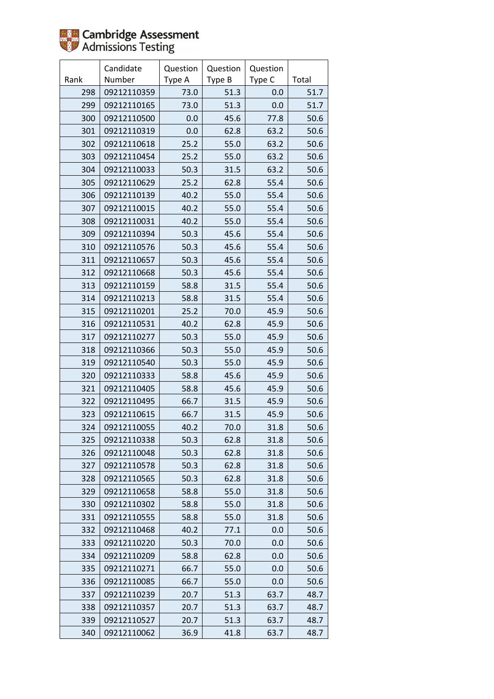

|      | Candidate   | Question | Question | Question |       |
|------|-------------|----------|----------|----------|-------|
| Rank | Number      | Type A   | Type B   | Type C   | Total |
| 298  | 09212110359 | 73.0     | 51.3     | 0.0      | 51.7  |
| 299  | 09212110165 | 73.0     | 51.3     | 0.0      | 51.7  |
| 300  | 09212110500 | 0.0      | 45.6     | 77.8     | 50.6  |
| 301  | 09212110319 | 0.0      | 62.8     | 63.2     | 50.6  |
| 302  | 09212110618 | 25.2     | 55.0     | 63.2     | 50.6  |
| 303  | 09212110454 | 25.2     | 55.0     | 63.2     | 50.6  |
| 304  | 09212110033 | 50.3     | 31.5     | 63.2     | 50.6  |
| 305  | 09212110629 | 25.2     | 62.8     | 55.4     | 50.6  |
| 306  | 09212110139 | 40.2     | 55.0     | 55.4     | 50.6  |
| 307  | 09212110015 | 40.2     | 55.0     | 55.4     | 50.6  |
| 308  | 09212110031 | 40.2     | 55.0     | 55.4     | 50.6  |
| 309  | 09212110394 | 50.3     | 45.6     | 55.4     | 50.6  |
| 310  | 09212110576 | 50.3     | 45.6     | 55.4     | 50.6  |
| 311  | 09212110657 | 50.3     | 45.6     | 55.4     | 50.6  |
| 312  | 09212110668 | 50.3     | 45.6     | 55.4     | 50.6  |
| 313  | 09212110159 | 58.8     | 31.5     | 55.4     | 50.6  |
| 314  | 09212110213 | 58.8     | 31.5     | 55.4     | 50.6  |
| 315  | 09212110201 | 25.2     | 70.0     | 45.9     | 50.6  |
| 316  | 09212110531 | 40.2     | 62.8     | 45.9     | 50.6  |
| 317  | 09212110277 | 50.3     | 55.0     | 45.9     | 50.6  |
| 318  | 09212110366 | 50.3     | 55.0     | 45.9     | 50.6  |
| 319  | 09212110540 | 50.3     | 55.0     | 45.9     | 50.6  |
| 320  | 09212110333 | 58.8     | 45.6     | 45.9     | 50.6  |
| 321  | 09212110405 | 58.8     | 45.6     | 45.9     | 50.6  |
| 322  | 09212110495 | 66.7     | 31.5     | 45.9     | 50.6  |
| 323  | 09212110615 | 66.7     | 31.5     | 45.9     | 50.6  |
| 324  | 09212110055 | 40.2     | 70.0     | 31.8     | 50.6  |
| 325  | 09212110338 | 50.3     | 62.8     | 31.8     | 50.6  |
| 326  | 09212110048 | 50.3     | 62.8     | 31.8     | 50.6  |
| 327  | 09212110578 | 50.3     | 62.8     | 31.8     | 50.6  |
| 328  | 09212110565 | 50.3     | 62.8     | 31.8     | 50.6  |
| 329  | 09212110658 | 58.8     | 55.0     | 31.8     | 50.6  |
| 330  | 09212110302 | 58.8     | 55.0     | 31.8     | 50.6  |
| 331  | 09212110555 | 58.8     | 55.0     | 31.8     | 50.6  |
| 332  | 09212110468 | 40.2     | 77.1     | 0.0      | 50.6  |
| 333  | 09212110220 | 50.3     | 70.0     | 0.0      | 50.6  |
| 334  | 09212110209 | 58.8     | 62.8     | 0.0      | 50.6  |
| 335  | 09212110271 | 66.7     | 55.0     | 0.0      | 50.6  |
| 336  | 09212110085 | 66.7     | 55.0     | 0.0      | 50.6  |
| 337  | 09212110239 | 20.7     | 51.3     | 63.7     | 48.7  |
| 338  | 09212110357 | 20.7     | 51.3     | 63.7     | 48.7  |
| 339  | 09212110527 | 20.7     | 51.3     | 63.7     | 48.7  |
| 340  | 09212110062 | 36.9     | 41.8     | 63.7     | 48.7  |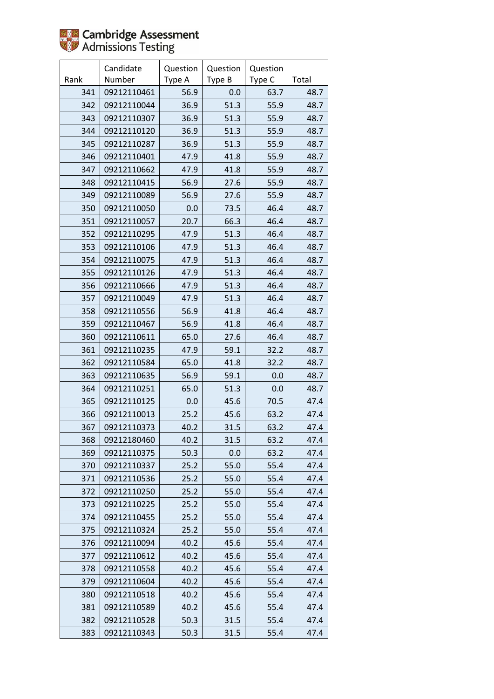

|      | Candidate   | Question | Question | Question |       |
|------|-------------|----------|----------|----------|-------|
| Rank | Number      | Type A   | Type B   | Type C   | Total |
| 341  | 09212110461 | 56.9     | 0.0      | 63.7     | 48.7  |
| 342  | 09212110044 | 36.9     | 51.3     | 55.9     | 48.7  |
| 343  | 09212110307 | 36.9     | 51.3     | 55.9     | 48.7  |
| 344  | 09212110120 | 36.9     | 51.3     | 55.9     | 48.7  |
| 345  | 09212110287 | 36.9     | 51.3     | 55.9     | 48.7  |
| 346  | 09212110401 | 47.9     | 41.8     | 55.9     | 48.7  |
| 347  | 09212110662 | 47.9     | 41.8     | 55.9     | 48.7  |
| 348  | 09212110415 | 56.9     | 27.6     | 55.9     | 48.7  |
| 349  | 09212110089 | 56.9     | 27.6     | 55.9     | 48.7  |
| 350  | 09212110050 | 0.0      | 73.5     | 46.4     | 48.7  |
| 351  | 09212110057 | 20.7     | 66.3     | 46.4     | 48.7  |
| 352  | 09212110295 | 47.9     | 51.3     | 46.4     | 48.7  |
| 353  | 09212110106 | 47.9     | 51.3     | 46.4     | 48.7  |
| 354  | 09212110075 | 47.9     | 51.3     | 46.4     | 48.7  |
| 355  | 09212110126 | 47.9     | 51.3     | 46.4     | 48.7  |
| 356  | 09212110666 | 47.9     | 51.3     | 46.4     | 48.7  |
| 357  | 09212110049 | 47.9     | 51.3     | 46.4     | 48.7  |
| 358  | 09212110556 | 56.9     | 41.8     | 46.4     | 48.7  |
| 359  | 09212110467 | 56.9     | 41.8     | 46.4     | 48.7  |
| 360  | 09212110611 | 65.0     | 27.6     | 46.4     | 48.7  |
| 361  | 09212110235 | 47.9     | 59.1     | 32.2     | 48.7  |
| 362  | 09212110584 | 65.0     | 41.8     | 32.2     | 48.7  |
| 363  | 09212110635 | 56.9     | 59.1     | 0.0      | 48.7  |
| 364  | 09212110251 | 65.0     | 51.3     | 0.0      | 48.7  |
| 365  | 09212110125 | 0.0      | 45.6     | 70.5     | 47.4  |
| 366  | 09212110013 | 25.2     | 45.6     | 63.2     | 47.4  |
| 367  | 09212110373 | 40.2     | 31.5     | 63.2     | 47.4  |
| 368  | 09212180460 | 40.2     | 31.5     | 63.2     | 47.4  |
| 369  | 09212110375 | 50.3     | 0.0      | 63.2     | 47.4  |
| 370  | 09212110337 | 25.2     | 55.0     | 55.4     | 47.4  |
| 371  | 09212110536 | 25.2     | 55.0     | 55.4     | 47.4  |
| 372  | 09212110250 | 25.2     | 55.0     | 55.4     | 47.4  |
| 373  | 09212110225 | 25.2     | 55.0     | 55.4     | 47.4  |
| 374  | 09212110455 | 25.2     | 55.0     | 55.4     | 47.4  |
| 375  | 09212110324 | 25.2     | 55.0     | 55.4     | 47.4  |
| 376  | 09212110094 | 40.2     | 45.6     | 55.4     | 47.4  |
| 377  | 09212110612 | 40.2     | 45.6     | 55.4     | 47.4  |
| 378  | 09212110558 | 40.2     | 45.6     | 55.4     | 47.4  |
| 379  | 09212110604 | 40.2     | 45.6     | 55.4     | 47.4  |
| 380  | 09212110518 | 40.2     | 45.6     | 55.4     | 47.4  |
| 381  | 09212110589 | 40.2     | 45.6     | 55.4     | 47.4  |
| 382  | 09212110528 | 50.3     | 31.5     | 55.4     | 47.4  |
| 383  | 09212110343 | 50.3     | 31.5     | 55.4     | 47.4  |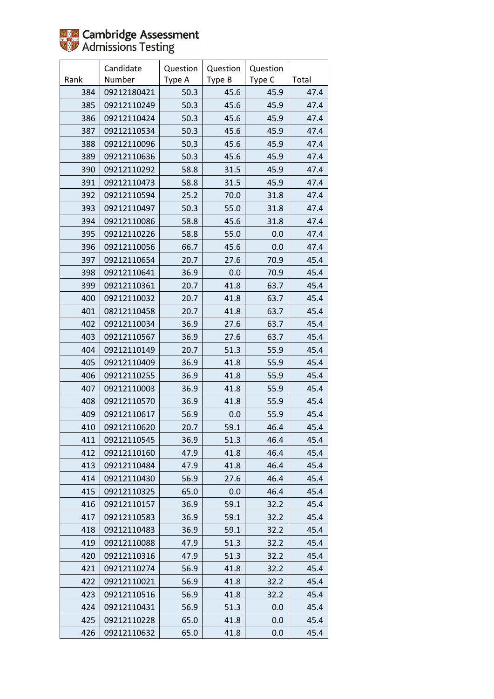

|      | Candidate   | Question | Question | Question |       |
|------|-------------|----------|----------|----------|-------|
| Rank | Number      | Type A   | Type B   | Type C   | Total |
| 384  | 09212180421 | 50.3     | 45.6     | 45.9     | 47.4  |
| 385  | 09212110249 | 50.3     | 45.6     | 45.9     | 47.4  |
| 386  | 09212110424 | 50.3     | 45.6     | 45.9     | 47.4  |
| 387  | 09212110534 | 50.3     | 45.6     | 45.9     | 47.4  |
| 388  | 09212110096 | 50.3     | 45.6     | 45.9     | 47.4  |
| 389  | 09212110636 | 50.3     | 45.6     | 45.9     | 47.4  |
| 390  | 09212110292 | 58.8     | 31.5     | 45.9     | 47.4  |
| 391  | 09212110473 | 58.8     | 31.5     | 45.9     | 47.4  |
| 392  | 09212110594 | 25.2     | 70.0     | 31.8     | 47.4  |
| 393  | 09212110497 | 50.3     | 55.0     | 31.8     | 47.4  |
| 394  | 09212110086 | 58.8     | 45.6     | 31.8     | 47.4  |
| 395  | 09212110226 | 58.8     | 55.0     | 0.0      | 47.4  |
| 396  | 09212110056 | 66.7     | 45.6     | 0.0      | 47.4  |
| 397  | 09212110654 | 20.7     | 27.6     | 70.9     | 45.4  |
| 398  | 09212110641 | 36.9     | 0.0      | 70.9     | 45.4  |
| 399  | 09212110361 | 20.7     | 41.8     | 63.7     | 45.4  |
| 400  | 09212110032 | 20.7     | 41.8     | 63.7     | 45.4  |
| 401  | 08212110458 | 20.7     | 41.8     | 63.7     | 45.4  |
| 402  | 09212110034 | 36.9     | 27.6     | 63.7     | 45.4  |
| 403  | 09212110567 | 36.9     | 27.6     | 63.7     | 45.4  |
| 404  | 09212110149 | 20.7     | 51.3     | 55.9     | 45.4  |
| 405  | 09212110409 | 36.9     | 41.8     | 55.9     | 45.4  |
| 406  | 09212110255 | 36.9     | 41.8     | 55.9     | 45.4  |
| 407  | 09212110003 | 36.9     | 41.8     | 55.9     | 45.4  |
| 408  | 09212110570 | 36.9     | 41.8     | 55.9     | 45.4  |
| 409  | 09212110617 | 56.9     | 0.0      | 55.9     | 45.4  |
| 410  | 09212110620 | 20.7     | 59.1     | 46.4     | 45.4  |
| 411  | 09212110545 | 36.9     | 51.3     | 46.4     | 45.4  |
| 412  | 09212110160 | 47.9     | 41.8     | 46.4     | 45.4  |
| 413  | 09212110484 | 47.9     | 41.8     | 46.4     | 45.4  |
| 414  | 09212110430 | 56.9     | 27.6     | 46.4     | 45.4  |
| 415  | 09212110325 | 65.0     | 0.0      | 46.4     | 45.4  |
| 416  | 09212110157 | 36.9     | 59.1     | 32.2     | 45.4  |
| 417  | 09212110583 | 36.9     | 59.1     | 32.2     | 45.4  |
| 418  | 09212110483 | 36.9     | 59.1     | 32.2     | 45.4  |
| 419  | 09212110088 | 47.9     | 51.3     | 32.2     | 45.4  |
| 420  | 09212110316 | 47.9     | 51.3     | 32.2     | 45.4  |
| 421  | 09212110274 | 56.9     | 41.8     | 32.2     | 45.4  |
| 422  | 09212110021 | 56.9     | 41.8     | 32.2     | 45.4  |
| 423  | 09212110516 | 56.9     | 41.8     | 32.2     | 45.4  |
| 424  | 09212110431 | 56.9     | 51.3     | 0.0      | 45.4  |
| 425  | 09212110228 | 65.0     | 41.8     | 0.0      | 45.4  |
| 426  | 09212110632 | 65.0     | 41.8     | 0.0      | 45.4  |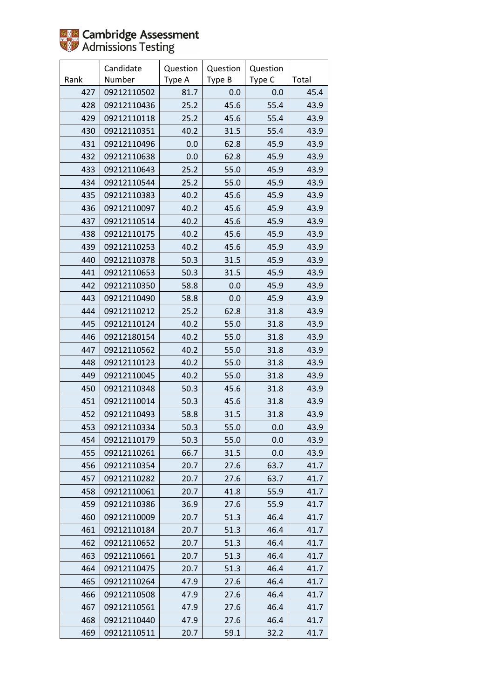

|      | Candidate   | Question | Question | Question |       |
|------|-------------|----------|----------|----------|-------|
| Rank | Number      | Type A   | Type B   | Type C   | Total |
| 427  | 09212110502 | 81.7     | 0.0      | 0.0      | 45.4  |
| 428  | 09212110436 | 25.2     | 45.6     | 55.4     | 43.9  |
| 429  | 09212110118 | 25.2     | 45.6     | 55.4     | 43.9  |
| 430  | 09212110351 | 40.2     | 31.5     | 55.4     | 43.9  |
| 431  | 09212110496 | 0.0      | 62.8     | 45.9     | 43.9  |
| 432  | 09212110638 | 0.0      | 62.8     | 45.9     | 43.9  |
| 433  | 09212110643 | 25.2     | 55.0     | 45.9     | 43.9  |
| 434  | 09212110544 | 25.2     | 55.0     | 45.9     | 43.9  |
| 435  | 09212110383 | 40.2     | 45.6     | 45.9     | 43.9  |
| 436  | 09212110097 | 40.2     | 45.6     | 45.9     | 43.9  |
| 437  | 09212110514 | 40.2     | 45.6     | 45.9     | 43.9  |
| 438  | 09212110175 | 40.2     | 45.6     | 45.9     | 43.9  |
| 439  | 09212110253 | 40.2     | 45.6     | 45.9     | 43.9  |
| 440  | 09212110378 | 50.3     | 31.5     | 45.9     | 43.9  |
| 441  | 09212110653 | 50.3     | 31.5     | 45.9     | 43.9  |
| 442  | 09212110350 | 58.8     | 0.0      | 45.9     | 43.9  |
| 443  | 09212110490 | 58.8     | 0.0      | 45.9     | 43.9  |
| 444  | 09212110212 | 25.2     | 62.8     | 31.8     | 43.9  |
| 445  | 09212110124 | 40.2     | 55.0     | 31.8     | 43.9  |
| 446  | 09212180154 | 40.2     | 55.0     | 31.8     | 43.9  |
| 447  | 09212110562 | 40.2     | 55.0     | 31.8     | 43.9  |
| 448  | 09212110123 | 40.2     | 55.0     | 31.8     | 43.9  |
| 449  | 09212110045 | 40.2     | 55.0     | 31.8     | 43.9  |
| 450  | 09212110348 | 50.3     | 45.6     | 31.8     | 43.9  |
| 451  | 09212110014 | 50.3     | 45.6     | 31.8     | 43.9  |
| 452  | 09212110493 | 58.8     | 31.5     | 31.8     | 43.9  |
| 453  | 09212110334 | 50.3     | 55.0     | 0.0      | 43.9  |
| 454  | 09212110179 | 50.3     | 55.0     | 0.0      | 43.9  |
| 455  | 09212110261 | 66.7     | 31.5     | 0.0      | 43.9  |
| 456  | 09212110354 | 20.7     | 27.6     | 63.7     | 41.7  |
| 457  | 09212110282 | 20.7     | 27.6     | 63.7     | 41.7  |
| 458  | 09212110061 | 20.7     | 41.8     | 55.9     | 41.7  |
| 459  | 09212110386 | 36.9     | 27.6     | 55.9     | 41.7  |
| 460  | 09212110009 | 20.7     | 51.3     | 46.4     | 41.7  |
| 461  | 09212110184 | 20.7     | 51.3     | 46.4     | 41.7  |
| 462  | 09212110652 | 20.7     | 51.3     | 46.4     | 41.7  |
| 463  | 09212110661 | 20.7     | 51.3     | 46.4     | 41.7  |
| 464  | 09212110475 | 20.7     | 51.3     | 46.4     | 41.7  |
| 465  | 09212110264 | 47.9     | 27.6     | 46.4     | 41.7  |
| 466  | 09212110508 | 47.9     | 27.6     | 46.4     | 41.7  |
| 467  | 09212110561 | 47.9     | 27.6     | 46.4     | 41.7  |
| 468  | 09212110440 | 47.9     | 27.6     | 46.4     | 41.7  |
| 469  | 09212110511 | 20.7     | 59.1     | 32.2     | 41.7  |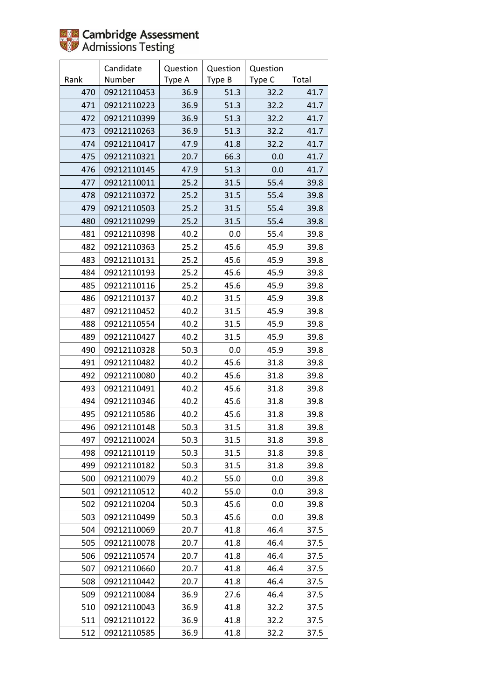

|      | Candidate   | Question | Question | Question |       |
|------|-------------|----------|----------|----------|-------|
| Rank | Number      | Type A   | Type B   | Type C   | Total |
| 470  | 09212110453 | 36.9     | 51.3     | 32.2     | 41.7  |
| 471  | 09212110223 | 36.9     | 51.3     | 32.2     | 41.7  |
| 472  | 09212110399 | 36.9     | 51.3     | 32.2     | 41.7  |
| 473  | 09212110263 | 36.9     | 51.3     | 32.2     | 41.7  |
| 474  | 09212110417 | 47.9     | 41.8     | 32.2     | 41.7  |
| 475  | 09212110321 | 20.7     | 66.3     | 0.0      | 41.7  |
| 476  | 09212110145 | 47.9     | 51.3     | 0.0      | 41.7  |
| 477  | 09212110011 | 25.2     | 31.5     | 55.4     | 39.8  |
| 478  | 09212110372 | 25.2     | 31.5     | 55.4     | 39.8  |
| 479  | 09212110503 | 25.2     | 31.5     | 55.4     | 39.8  |
| 480  | 09212110299 | 25.2     | 31.5     | 55.4     | 39.8  |
| 481  | 09212110398 | 40.2     | 0.0      | 55.4     | 39.8  |
| 482  | 09212110363 | 25.2     | 45.6     | 45.9     | 39.8  |
| 483  | 09212110131 | 25.2     | 45.6     | 45.9     | 39.8  |
| 484  | 09212110193 | 25.2     | 45.6     | 45.9     | 39.8  |
| 485  | 09212110116 | 25.2     | 45.6     | 45.9     | 39.8  |
| 486  | 09212110137 | 40.2     | 31.5     | 45.9     | 39.8  |
| 487  | 09212110452 | 40.2     | 31.5     | 45.9     | 39.8  |
| 488  | 09212110554 | 40.2     | 31.5     | 45.9     | 39.8  |
| 489  | 09212110427 | 40.2     | 31.5     | 45.9     | 39.8  |
| 490  | 09212110328 | 50.3     | 0.0      | 45.9     | 39.8  |
| 491  | 09212110482 | 40.2     | 45.6     | 31.8     | 39.8  |
| 492  | 09212110080 | 40.2     | 45.6     | 31.8     | 39.8  |
| 493  | 09212110491 | 40.2     | 45.6     | 31.8     | 39.8  |
| 494  | 09212110346 | 40.2     | 45.6     | 31.8     | 39.8  |
| 495  | 09212110586 | 40.2     | 45.6     | 31.8     | 39.8  |
| 496  | 09212110148 | 50.3     | 31.5     | 31.8     | 39.8  |
| 497  | 09212110024 | 50.3     | 31.5     | 31.8     | 39.8  |
| 498  | 09212110119 | 50.3     | 31.5     | 31.8     | 39.8  |
| 499  | 09212110182 | 50.3     | 31.5     | 31.8     | 39.8  |
| 500  | 09212110079 | 40.2     | 55.0     | 0.0      | 39.8  |
| 501  | 09212110512 | 40.2     | 55.0     | 0.0      | 39.8  |
| 502  | 09212110204 | 50.3     | 45.6     | 0.0      | 39.8  |
| 503  | 09212110499 | 50.3     | 45.6     | 0.0      | 39.8  |
| 504  | 09212110069 | 20.7     | 41.8     | 46.4     | 37.5  |
| 505  | 09212110078 | 20.7     | 41.8     | 46.4     | 37.5  |
| 506  | 09212110574 | 20.7     | 41.8     | 46.4     | 37.5  |
| 507  | 09212110660 | 20.7     | 41.8     | 46.4     | 37.5  |
| 508  | 09212110442 | 20.7     | 41.8     | 46.4     | 37.5  |
| 509  | 09212110084 | 36.9     | 27.6     | 46.4     | 37.5  |
| 510  | 09212110043 | 36.9     | 41.8     | 32.2     | 37.5  |
| 511  | 09212110122 | 36.9     | 41.8     | 32.2     | 37.5  |
| 512  | 09212110585 | 36.9     | 41.8     | 32.2     | 37.5  |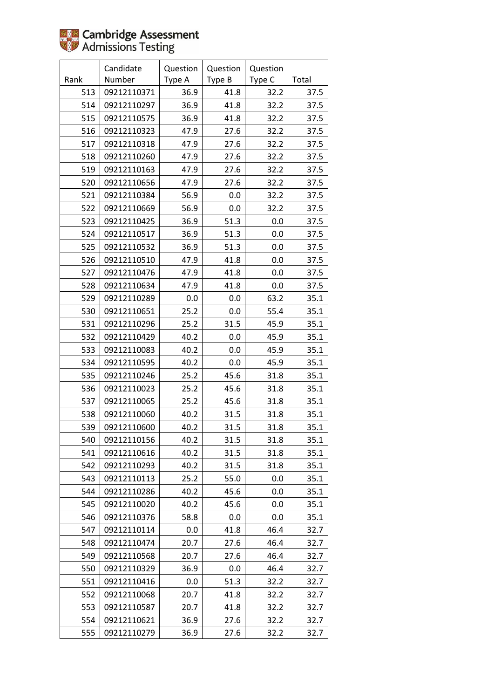|      | Candidate   | Question | Question | Question |       |
|------|-------------|----------|----------|----------|-------|
| Rank | Number      | Type A   | Type B   | Type C   | Total |
| 513  | 09212110371 | 36.9     | 41.8     | 32.2     | 37.5  |
| 514  | 09212110297 | 36.9     | 41.8     | 32.2     | 37.5  |
| 515  | 09212110575 | 36.9     | 41.8     | 32.2     | 37.5  |
| 516  | 09212110323 | 47.9     | 27.6     | 32.2     | 37.5  |
| 517  | 09212110318 | 47.9     | 27.6     | 32.2     | 37.5  |
| 518  | 09212110260 | 47.9     | 27.6     | 32.2     | 37.5  |
| 519  | 09212110163 | 47.9     | 27.6     | 32.2     | 37.5  |
| 520  | 09212110656 | 47.9     | 27.6     | 32.2     | 37.5  |
| 521  | 09212110384 | 56.9     | 0.0      | 32.2     | 37.5  |
| 522  | 09212110669 | 56.9     | 0.0      | 32.2     | 37.5  |
| 523  | 09212110425 | 36.9     | 51.3     | 0.0      | 37.5  |
| 524  | 09212110517 | 36.9     | 51.3     | 0.0      | 37.5  |
| 525  | 09212110532 | 36.9     | 51.3     | 0.0      | 37.5  |
| 526  | 09212110510 | 47.9     | 41.8     | 0.0      | 37.5  |
| 527  | 09212110476 | 47.9     | 41.8     | 0.0      | 37.5  |
| 528  | 09212110634 | 47.9     | 41.8     | 0.0      | 37.5  |
| 529  | 09212110289 | 0.0      | 0.0      | 63.2     | 35.1  |
| 530  | 09212110651 | 25.2     | 0.0      | 55.4     | 35.1  |
| 531  | 09212110296 | 25.2     | 31.5     | 45.9     | 35.1  |
| 532  | 09212110429 | 40.2     | 0.0      | 45.9     | 35.1  |
| 533  | 09212110083 | 40.2     | 0.0      | 45.9     | 35.1  |
| 534  | 09212110595 | 40.2     | 0.0      | 45.9     | 35.1  |
| 535  | 09212110246 | 25.2     | 45.6     | 31.8     | 35.1  |
| 536  | 09212110023 | 25.2     | 45.6     | 31.8     | 35.1  |
| 537  | 09212110065 | 25.2     | 45.6     | 31.8     | 35.1  |
| 538  | 09212110060 | 40.2     | 31.5     | 31.8     | 35.1  |
| 539  | 09212110600 | 40.2     | 31.5     | 31.8     | 35.1  |
| 540  | 09212110156 | 40.2     | 31.5     | 31.8     | 35.1  |
| 541  | 09212110616 | 40.2     | 31.5     | 31.8     | 35.1  |
| 542  | 09212110293 | 40.2     | 31.5     | 31.8     | 35.1  |
| 543  | 09212110113 | 25.2     | 55.0     | 0.0      | 35.1  |
| 544  | 09212110286 | 40.2     | 45.6     | 0.0      | 35.1  |
| 545  | 09212110020 | 40.2     | 45.6     | 0.0      | 35.1  |
| 546  | 09212110376 | 58.8     | 0.0      | 0.0      | 35.1  |
| 547  | 09212110114 | 0.0      | 41.8     | 46.4     | 32.7  |
| 548  | 09212110474 | 20.7     | 27.6     | 46.4     | 32.7  |
| 549  | 09212110568 | 20.7     | 27.6     | 46.4     | 32.7  |
| 550  | 09212110329 | 36.9     | 0.0      | 46.4     | 32.7  |
| 551  | 09212110416 | 0.0      | 51.3     | 32.2     | 32.7  |
| 552  | 09212110068 | 20.7     | 41.8     | 32.2     | 32.7  |
| 553  | 09212110587 | 20.7     | 41.8     | 32.2     | 32.7  |
| 554  | 09212110621 | 36.9     | 27.6     | 32.2     | 32.7  |
| 555  | 09212110279 | 36.9     | 27.6     | 32.2     | 32.7  |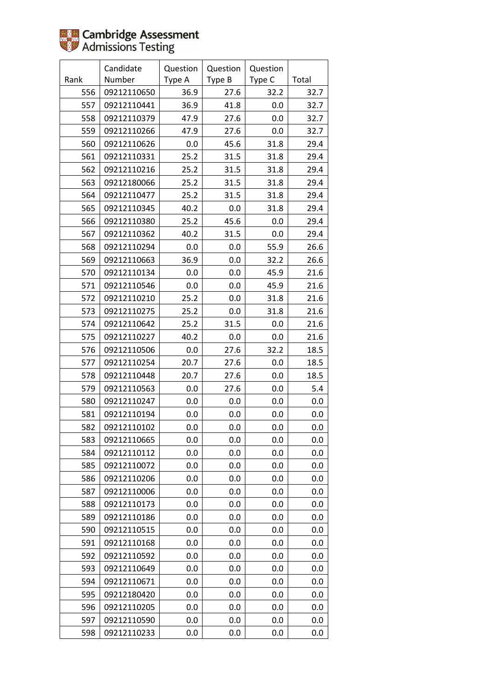|      | Candidate   | Question | Question | Question |       |
|------|-------------|----------|----------|----------|-------|
| Rank | Number      | Type A   | Type B   | Type C   | Total |
| 556  | 09212110650 | 36.9     | 27.6     | 32.2     | 32.7  |
| 557  | 09212110441 | 36.9     | 41.8     | 0.0      | 32.7  |
| 558  | 09212110379 | 47.9     | 27.6     | 0.0      | 32.7  |
| 559  | 09212110266 | 47.9     | 27.6     | 0.0      | 32.7  |
| 560  | 09212110626 | 0.0      | 45.6     | 31.8     | 29.4  |
| 561  | 09212110331 | 25.2     | 31.5     | 31.8     | 29.4  |
| 562  | 09212110216 | 25.2     | 31.5     | 31.8     | 29.4  |
| 563  | 09212180066 | 25.2     | 31.5     | 31.8     | 29.4  |
| 564  | 09212110477 | 25.2     | 31.5     | 31.8     | 29.4  |
| 565  | 09212110345 | 40.2     | 0.0      | 31.8     | 29.4  |
| 566  | 09212110380 | 25.2     | 45.6     | 0.0      | 29.4  |
| 567  | 09212110362 | 40.2     | 31.5     | 0.0      | 29.4  |
| 568  | 09212110294 | 0.0      | 0.0      | 55.9     | 26.6  |
| 569  | 09212110663 | 36.9     | 0.0      | 32.2     | 26.6  |
| 570  | 09212110134 | 0.0      | 0.0      | 45.9     | 21.6  |
| 571  | 09212110546 | 0.0      | 0.0      | 45.9     | 21.6  |
| 572  | 09212110210 | 25.2     | 0.0      | 31.8     | 21.6  |
| 573  | 09212110275 | 25.2     | 0.0      | 31.8     | 21.6  |
| 574  | 09212110642 | 25.2     | 31.5     | 0.0      | 21.6  |
| 575  | 09212110227 | 40.2     | 0.0      | 0.0      | 21.6  |
| 576  | 09212110506 | 0.0      | 27.6     | 32.2     | 18.5  |
| 577  | 09212110254 | 20.7     | 27.6     | 0.0      | 18.5  |
| 578  | 09212110448 | 20.7     | 27.6     | 0.0      | 18.5  |
| 579  | 09212110563 | 0.0      | 27.6     | 0.0      | 5.4   |
| 580  | 09212110247 | 0.0      | 0.0      | 0.0      | 0.0   |
| 581  | 09212110194 | 0.0      | 0.0      | 0.0      | 0.0   |
| 582  | 09212110102 | 0.0      | 0.0      | 0.0      | 0.0   |
| 583  | 09212110665 | 0.0      | 0.0      | 0.0      | 0.0   |
| 584  | 09212110112 | 0.0      | 0.0      | 0.0      | 0.0   |
| 585  | 09212110072 | 0.0      | 0.0      | 0.0      | 0.0   |
| 586  | 09212110206 | 0.0      | 0.0      | 0.0      | 0.0   |
| 587  | 09212110006 | $0.0\,$  | 0.0      | 0.0      | 0.0   |
| 588  | 09212110173 | 0.0      | 0.0      | 0.0      | 0.0   |
| 589  | 09212110186 | 0.0      | 0.0      | 0.0      | 0.0   |
| 590  | 09212110515 | 0.0      | 0.0      | 0.0      | 0.0   |
| 591  | 09212110168 | 0.0      | 0.0      | 0.0      | 0.0   |
| 592  | 09212110592 | 0.0      | 0.0      | 0.0      | 0.0   |
| 593  | 09212110649 | 0.0      | 0.0      | 0.0      | 0.0   |
| 594  | 09212110671 | 0.0      | 0.0      | 0.0      | 0.0   |
| 595  | 09212180420 | 0.0      | 0.0      | 0.0      | 0.0   |
| 596  | 09212110205 | 0.0      | 0.0      | 0.0      | 0.0   |
| 597  | 09212110590 | 0.0      | 0.0      | 0.0      | 0.0   |
| 598  | 09212110233 | 0.0      | 0.0      | 0.0      | 0.0   |